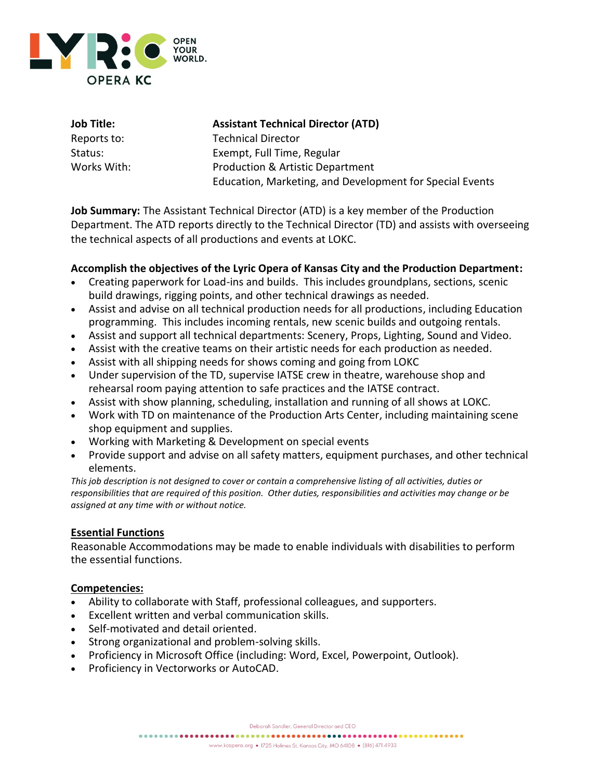

| Job Title:  |
|-------------|
| Reports to: |
| Status:     |
| Works With: |

#### **Assistant Technical Director (ATD)**

Technical Director Exempt, Full Time, Regular Production & Artistic Department Education, Marketing, and Development for Special Events

**Job Summary:** The Assistant Technical Director (ATD) is a key member of the Production Department. The ATD reports directly to the Technical Director (TD) and assists with overseeing the technical aspects of all productions and events at LOKC.

# **Accomplish the objectives of the Lyric Opera of Kansas City and the Production Department:**

- Creating paperwork for Load-ins and builds. This includes groundplans, sections, scenic build drawings, rigging points, and other technical drawings as needed.
- Assist and advise on all technical production needs for all productions, including Education programming. This includes incoming rentals, new scenic builds and outgoing rentals.
- Assist and support all technical departments: Scenery, Props, Lighting, Sound and Video.
- Assist with the creative teams on their artistic needs for each production as needed.
- Assist with all shipping needs for shows coming and going from LOKC
- Under supervision of the TD, supervise IATSE crew in theatre, warehouse shop and rehearsal room paying attention to safe practices and the IATSE contract.
- Assist with show planning, scheduling, installation and running of all shows at LOKC.
- Work with TD on maintenance of the Production Arts Center, including maintaining scene shop equipment and supplies.
- Working with Marketing & Development on special events
- Provide support and advise on all safety matters, equipment purchases, and other technical elements.

*This job description is not designed to cover or contain a comprehensive listing of all activities, duties or responsibilities that are required of this position. Other duties, responsibilities and activities may change or be assigned at any time with or without notice.*

## **Essential Functions**

Reasonable Accommodations may be made to enable individuals with disabilities to perform the essential functions.

## **Competencies:**

- Ability to collaborate with Staff, professional colleagues, and supporters.
- Excellent written and verbal communication skills.
- Self-motivated and detail oriented.
- Strong organizational and problem-solving skills.
- Proficiency in Microsoft Office (including: Word, Excel, Powerpoint, Outlook).
- Proficiency in Vectorworks or AutoCAD.

Deborah Sandler, General Director and CEO